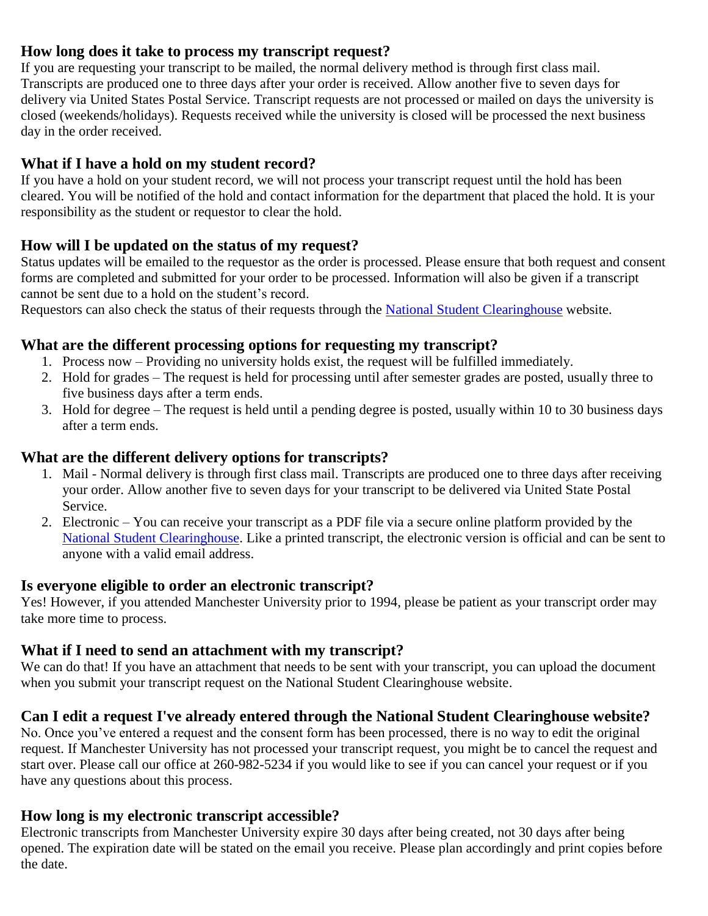## **How long does it take to process my transcript request?**

If you are requesting your transcript to be mailed, the normal delivery method is through first class mail. Transcripts are produced one to three days after your order is received. Allow another five to seven days for delivery via United States Postal Service. Transcript requests are not processed or mailed on days the university is closed (weekends/holidays). Requests received while the university is closed will be processed the next business day in the order received.

## **What if I have a hold on my student record?**

If you have a hold on your student record, we will not process your transcript request until the hold has been cleared. You will be notified of the hold and contact information for the department that placed the hold. It is your responsibility as the student or requestor to clear the hold.

#### **How will I be updated on the status of my request?**

Status updates will be emailed to the requestor as the order is processed. Please ensure that both request and consent forms are completed and submitted for your order to be processed. Information will also be given if a transcript cannot be sent due to a hold on the student's record.

Requestors can also check the status of their requests through the [National Student Clearinghouse](https://secure.studentclearinghouse.org/tsorder/faces/TOBridge?_afrLoop=2532437485103412&_afrWindowMode=0&_adf.ctrl-state=1db63ipge7_44) website.

#### **What are the different processing options for requesting my transcript?**

- 1. Process now Providing no university holds exist, the request will be fulfilled immediately.
- 2. Hold for grades The request is held for processing until after semester grades are posted, usually three to five business days after a term ends.
- 3. Hold for degree The request is held until a pending degree is posted, usually within 10 to 30 business days after a term ends.

### **What are the different delivery options for transcripts?**

- 1. Mail Normal delivery is through first class mail. Transcripts are produced one to three days after receiving your order. Allow another five to seven days for your transcript to be delivered via United State Postal Service.
- 2. Electronic You can receive your transcript as a PDF file via a secure online platform provided by the [National Student Clearinghouse.](https://secure.studentclearinghouse.org/tsorder/faces/TOBridge?_afrLoop=2948353897446401&_afrWindowMode=0&_adf.ctrl-state=19nkl3tgb9_13) Like a printed transcript, the electronic version is official and can be sent to anyone with a valid email address.

#### **Is everyone eligible to order an electronic transcript?**

Yes! However, if you attended Manchester University prior to 1994, please be patient as your transcript order may take more time to process.

#### **What if I need to send an attachment with my transcript?**

We can do that! If you have an attachment that needs to be sent with your transcript, you can upload the document when you submit your transcript request on the National Student Clearinghouse website.

#### **Can I edit a request I've already entered through the National Student Clearinghouse website?**

No. Once you've entered a request and the consent form has been processed, there is no way to edit the original request. If Manchester University has not processed your transcript request, you might be to cancel the request and start over. Please call our office at 260-982-5234 if you would like to see if you can cancel your request or if you have any questions about this process.

#### **How long is my electronic transcript accessible?**

Electronic transcripts from Manchester University expire 30 days after being created, not 30 days after being opened. The expiration date will be stated on the email you receive. Please plan accordingly and print copies before the date.